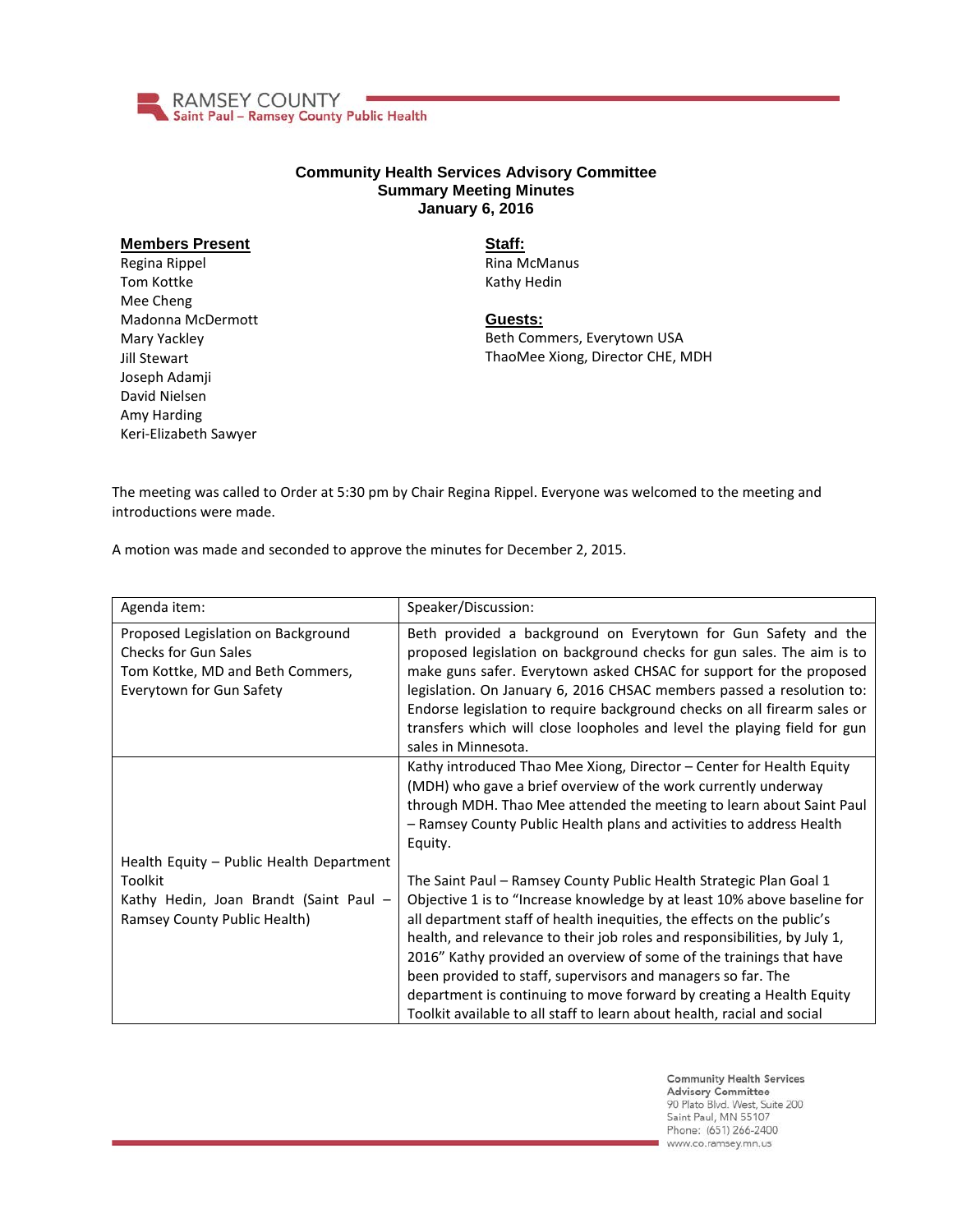

## **Community Health Services Advisory Committee Summary Meeting Minutes January 6, 2016**

## **Members Present**

Regina Rippel Tom Kottke Mee Cheng Madonna McDermott Mary Yackley Jill Stewart Joseph Adamji David Nielsen Amy Harding Keri-Elizabeth Sawyer

**Staff:** Rina McManus Kathy Hedin

## **Guests:**

Beth Commers, Everytown USA ThaoMee Xiong, Director CHE, MDH

The meeting was called to Order at 5:30 pm by Chair Regina Rippel. Everyone was welcomed to the meeting and introductions were made.

A motion was made and seconded to approve the minutes for December 2, 2015.

| Beth provided a background on Everytown for Gun Safety and the<br>proposed legislation on background checks for gun sales. The aim is to<br>make guns safer. Everytown asked CHSAC for support for the proposed<br>legislation. On January 6, 2016 CHSAC members passed a resolution to:<br>Endorse legislation to require background checks on all firearm sales or                                                                                                                                                                                                                                                                                                                                                                                                                                           |
|----------------------------------------------------------------------------------------------------------------------------------------------------------------------------------------------------------------------------------------------------------------------------------------------------------------------------------------------------------------------------------------------------------------------------------------------------------------------------------------------------------------------------------------------------------------------------------------------------------------------------------------------------------------------------------------------------------------------------------------------------------------------------------------------------------------|
| transfers which will close loopholes and level the playing field for gun<br>sales in Minnesota.                                                                                                                                                                                                                                                                                                                                                                                                                                                                                                                                                                                                                                                                                                                |
| Kathy introduced Thao Mee Xiong, Director - Center for Health Equity<br>(MDH) who gave a brief overview of the work currently underway<br>through MDH. Thao Mee attended the meeting to learn about Saint Paul<br>- Ramsey County Public Health plans and activities to address Health<br>The Saint Paul – Ramsey County Public Health Strategic Plan Goal 1<br>Objective 1 is to "Increase knowledge by at least 10% above baseline for<br>all department staff of health inequities, the effects on the public's<br>health, and relevance to their job roles and responsibilities, by July 1,<br>2016" Kathy provided an overview of some of the trainings that have<br>been provided to staff, supervisors and managers so far. The<br>department is continuing to move forward by creating a Health Equity |
|                                                                                                                                                                                                                                                                                                                                                                                                                                                                                                                                                                                                                                                                                                                                                                                                                |

**Community Health Services Advisory Committee** 90 Plato Blvd. West, Suite 200 Saint Paul, MN 55107 Phone: (651) 266-2400 www.co.ramsey.mn.us